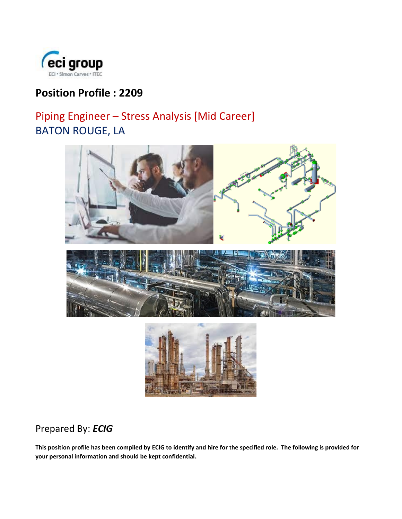

# **Position Profile : 2209**

# Piping Engineer – Stress Analysis [Mid Career] BATON ROUGE, LA





# Prepared By: *ECIG*

**This position profile has been compiled by ECIG to identify and hire for the specified role. The following is provided for your personal information and should be kept confidential.**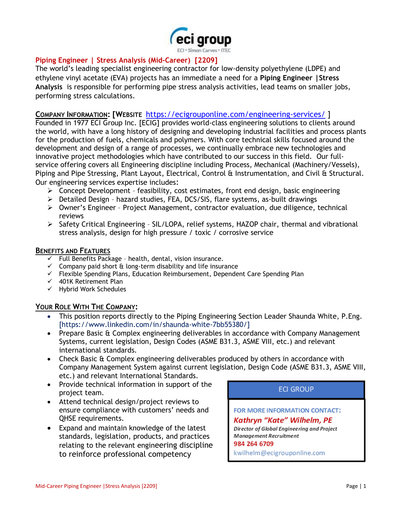

### **Piping Engineer | Stress Analysis (Mid-Career) [2209]**

The world's leading specialist engineering contractor for low-density polyethylene (LDPE) and ethylene vinyl acetate (EVA) projects has an immediate a need for a **Piping Engineer |Stress Analysis** is responsible for performing pipe stress analysis activities, lead teams on smaller jobs, performing stress calculations.

#### **COMPANY INFORMATION: [WEBSITE** <https://ecigrouponline.com/engineering-services/> ]

Founded in 1977 ECI Group Inc. [ECIG] provides world-class engineering solutions to clients around the world, with have a long history of designing and developing industrial facilities and process plants for the production of fuels, chemicals and polymers. With core technical skills focused around the development and design of a range of processes, we continually embrace new technologies and innovative project methodologies which have contributed to our success in this field. Our fullservice offering covers all Engineering discipline including Process, Mechanical (Machinery/Vessels), Piping and Pipe Stressing, Plant Layout, Electrical, Control & Instrumentation, and Civil & Structural. Our engineering services expertise includes:

- ➢ Concept Development feasibility, cost estimates, front end design, basic engineering
- ➢ Detailed Design hazard studies, FEA, DCS/SIS, flare systems, as-built drawings
- ➢ Owner's Engineer Project Management, contractor evaluation, due diligence, technical reviews
- ➢ Safety Critical Engineering SIL/LOPA, relief systems, HAZOP chair, thermal and vibrational stress analysis, design for high pressure / toxic / corrosive service

#### **BENEFITS AND FEATURES**

- $\checkmark$  Full Benefits Package health, dental, vision insurance.
- $\checkmark$  Company paid short  $\hat{a}$  long-term disability and life insurance
- ✓ Flexible Spending Plans, Education Reimbursement, Dependent Care Spending Plan
- $\checkmark$  401K Retirement Plan
- ✓ Hybrid Work Schedules

### **YOUR ROLE WITH THE COMPANY:**

- This position reports directly to the Piping Engineering Section Leader Shaunda White, P.Eng. [https://www.linkedin.com/in/shaunda-white-7bb55380/]
- Prepare Basic & Complex engineering deliverables in accordance with Company Management Systems, current legislation, Design Codes (ASME B31.3, ASME VIII, etc.) and relevant international standards.
- Check Basic & Complex engineering deliverables produced by others in accordance with Company Management System against current legislation, Design Code (ASME B31.3, ASME VIII, etc.) and relevant International Standards.
- Provide technical information in support of the project team.
- Attend technical design/project reviews to ensure compliance with customers' needs and QHSE requirements.
- Expand and maintain knowledge of the latest standards, legislation, products, and practices relating to the relevant engineering discipline to reinforce professional competency

**ECI GROUP** 

FOR MORE INFORMATION CONTACT:

Kathryn "Kate" Wilhelm, PE Director of Global Engineering and Project Management Recruitment

984 264 6709

kwilhelm@ecigrouponline.com